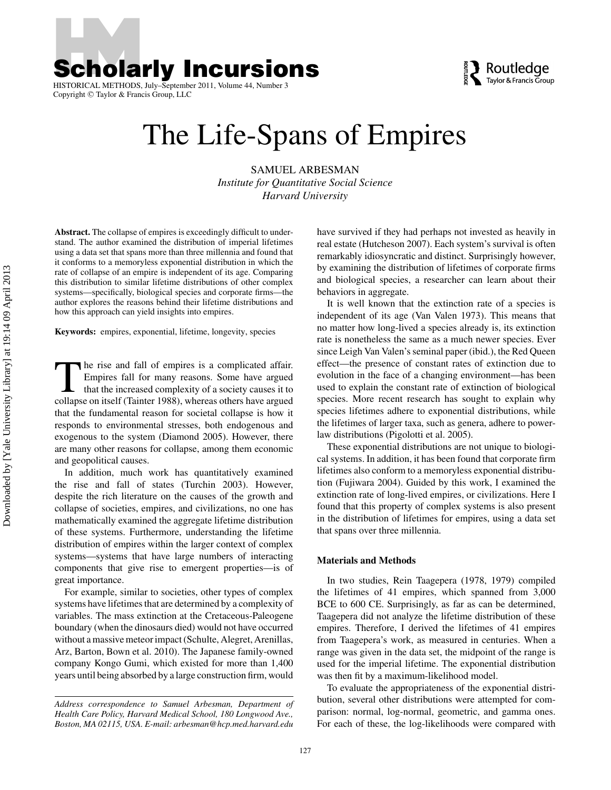# **Scholarly Incursions**

HISTORICAL METHODS, July–September 2011, Volume 44, Number 3 Copyright © Taylor & Francis Group, LLC



## The Life-Spans of Empires

SAMUEL ARBESMAN *Institute for Quantitative Social Science Harvard University*

**Abstract.** The collapse of empires is exceedingly difficult to understand. The author examined the distribution of imperial lifetimes using a data set that spans more than three millennia and found that it conforms to a memoryless exponential distribution in which the rate of collapse of an empire is independent of its age. Comparing this distribution to similar lifetime distributions of other complex systems—specifically, biological species and corporate firms—the author explores the reasons behind their lifetime distributions and how this approach can yield insights into empires.

**Keywords:** empires, exponential, lifetime, longevity, species

The rise and fall of empires is a complicated affair.<br>
Empires fall for many reasons. Some have argued<br>
that the increased complexity of a society causes it to<br>
collanse on itself (Tainter 1988), whereas others have argued Empires fall for many reasons. Some have argued that the increased complexity of a society causes it to collapse on itself (Tainter 1988), whereas others have argued that the fundamental reason for societal collapse is how it responds to environmental stresses, both endogenous and exogenous to the system (Diamond 2005). However, there are many other reasons for collapse, among them economic and geopolitical causes.

In addition, much work has quantitatively examined the rise and fall of states (Turchin 2003). However, despite the rich literature on the causes of the growth and collapse of societies, empires, and civilizations, no one has mathematically examined the aggregate lifetime distribution of these systems. Furthermore, understanding the lifetime distribution of empires within the larger context of complex systems—systems that have large numbers of interacting components that give rise to emergent properties—is of great importance.

For example, similar to societies, other types of complex systems have lifetimes that are determined by a complexity of variables. The mass extinction at the Cretaceous-Paleogene boundary (when the dinosaurs died) would not have occurred without a massive meteor impact (Schulte, Alegret, Arenillas, Arz, Barton, Bown et al. 2010). The Japanese family-owned company Kongo Gumi, which existed for more than 1,400 years until being absorbed by a large construction firm, would

have survived if they had perhaps not invested as heavily in real estate (Hutcheson 2007). Each system's survival is often remarkably idiosyncratic and distinct. Surprisingly however, by examining the distribution of lifetimes of corporate firms and biological species, a researcher can learn about their behaviors in aggregate.

It is well known that the extinction rate of a species is independent of its age (Van Valen 1973). This means that no matter how long-lived a species already is, its extinction rate is nonetheless the same as a much newer species. Ever since Leigh Van Valen's seminal paper (ibid.), the Red Queen effect—the presence of constant rates of extinction due to evolution in the face of a changing environment—has been used to explain the constant rate of extinction of biological species. More recent research has sought to explain why species lifetimes adhere to exponential distributions, while the lifetimes of larger taxa, such as genera, adhere to powerlaw distributions (Pigolotti et al. 2005).

These exponential distributions are not unique to biological systems. In addition, it has been found that corporate firm lifetimes also conform to a memoryless exponential distribution (Fujiwara 2004). Guided by this work, I examined the extinction rate of long-lived empires, or civilizations. Here I found that this property of complex systems is also present in the distribution of lifetimes for empires, using a data set that spans over three millennia.

#### **Materials and Methods**

In two studies, Rein Taagepera (1978, 1979) compiled the lifetimes of 41 empires, which spanned from 3,000 BCE to 600 CE. Surprisingly, as far as can be determined, Taagepera did not analyze the lifetime distribution of these empires. Therefore, I derived the lifetimes of 41 empires from Taagepera's work, as measured in centuries. When a range was given in the data set, the midpoint of the range is used for the imperial lifetime. The exponential distribution was then fit by a maximum-likelihood model.

To evaluate the appropriateness of the exponential distribution, several other distributions were attempted for comparison: normal, log-normal, geometric, and gamma ones. For each of these, the log-likelihoods were compared with

*Address correspondence to Samuel Arbesman, Department of Health Care Policy, Harvard Medical School, 180 Longwood Ave., Boston, MA 02115, USA. E-mail: arbesman@hcp.med.harvard.edu*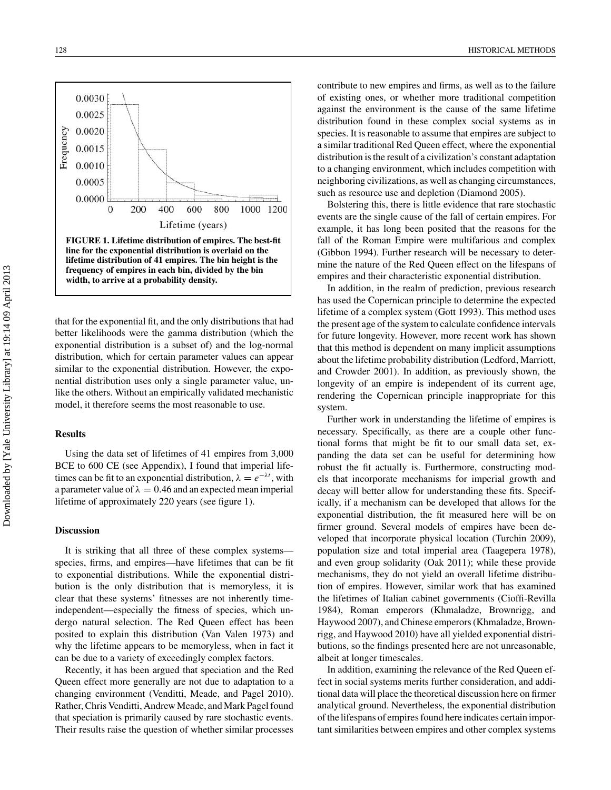$1.11$ 200 400 600 800 1000 1200  $\Omega$ Lifetime (years)

that for the exponential fit, and the only distributions that had better likelihoods were the gamma distribution (which the exponential distribution is a subset of) and the log-normal distribution, which for certain parameter values can appear similar to the exponential distribution. However, the exponential distribution uses only a single parameter value, unlike the others. Without an empirically validated mechanistic model, it therefore seems the most reasonable to use.

#### **Results**

Using the data set of lifetimes of 41 empires from 3,000 BCE to 600 CE (see Appendix), I found that imperial lifetimes can be fit to an exponential distribution,  $\lambda = e^{-\lambda t}$ , with a parameter value of  $\lambda = 0.46$  and an expected mean imperial lifetime of approximately 220 years (see figure 1).

#### **Discussion**

It is striking that all three of these complex systems species, firms, and empires—have lifetimes that can be fit to exponential distributions. While the exponential distribution is the only distribution that is memoryless, it is clear that these systems' fitnesses are not inherently timeindependent—especially the fitness of species, which undergo natural selection. The Red Queen effect has been posited to explain this distribution (Van Valen 1973) and why the lifetime appears to be memoryless, when in fact it can be due to a variety of exceedingly complex factors.

Recently, it has been argued that speciation and the Red Queen effect more generally are not due to adaptation to a changing environment (Venditti, Meade, and Pagel 2010). Rather, Chris Venditti, Andrew Meade, and Mark Pagel found that speciation is primarily caused by rare stochastic events. Their results raise the question of whether similar processes contribute to new empires and firms, as well as to the failure of existing ones, or whether more traditional competition against the environment is the cause of the same lifetime distribution found in these complex social systems as in species. It is reasonable to assume that empires are subject to a similar traditional Red Queen effect, where the exponential distribution is the result of a civilization's constant adaptation to a changing environment, which includes competition with neighboring civilizations, as well as changing circumstances, such as resource use and depletion (Diamond 2005).

Bolstering this, there is little evidence that rare stochastic events are the single cause of the fall of certain empires. For example, it has long been posited that the reasons for the fall of the Roman Empire were multifarious and complex (Gibbon 1994). Further research will be necessary to determine the nature of the Red Queen effect on the lifespans of empires and their characteristic exponential distribution.

In addition, in the realm of prediction, previous research has used the Copernican principle to determine the expected lifetime of a complex system (Gott 1993). This method uses the present age of the system to calculate confidence intervals for future longevity. However, more recent work has shown that this method is dependent on many implicit assumptions about the lifetime probability distribution (Ledford, Marriott, and Crowder 2001). In addition, as previously shown, the longevity of an empire is independent of its current age, rendering the Copernican principle inappropriate for this system.

Further work in understanding the lifetime of empires is necessary. Specifically, as there are a couple other functional forms that might be fit to our small data set, expanding the data set can be useful for determining how robust the fit actually is. Furthermore, constructing models that incorporate mechanisms for imperial growth and decay will better allow for understanding these fits. Specifically, if a mechanism can be developed that allows for the exponential distribution, the fit measured here will be on firmer ground. Several models of empires have been developed that incorporate physical location (Turchin 2009), population size and total imperial area (Taagepera 1978), and even group solidarity (Oak 2011); while these provide mechanisms, they do not yield an overall lifetime distribution of empires. However, similar work that has examined the lifetimes of Italian cabinet governments (Cioffi-Revilla 1984), Roman emperors (Khmaladze, Brownrigg, and Haywood 2007), and Chinese emperors (Khmaladze, Brownrigg, and Haywood 2010) have all yielded exponential distributions, so the findings presented here are not unreasonable, albeit at longer timescales.

In addition, examining the relevance of the Red Queen effect in social systems merits further consideration, and additional data will place the theoretical discussion here on firmer analytical ground. Nevertheless, the exponential distribution of the lifespans of empires found here indicates certain important similarities between empires and other complex systems